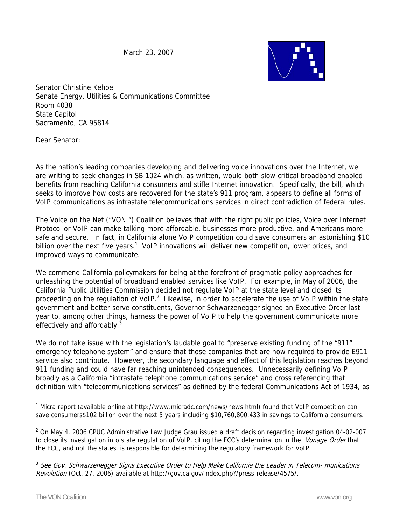March 23, 2007



Senator Christine Kehoe Senate Energy, Utilities & Communications Committee Room 4038 State Capitol Sacramento, CA 95814

Dear Senator:

As the nation's leading companies developing and delivering voice innovations over the Internet, we are writing to seek changes in SB 1024 which, as written, would both slow critical broadband enabled benefits from reaching California consumers and stifle Internet innovation. Specifically, the bill, which seeks to improve how costs are recovered for the state's 911 program, appears to define all forms of VoIP communications as intrastate telecommunications services in direct contradiction of federal rules.

The Voice on the Net ("VON ") Coalition believes that with the right public policies, Voice over Internet Protocol or VoIP can make talking more affordable, businesses more productive, and Americans more safe and secure. In fact, in California alone VoIP competition could save consumers an astonishing \$10 billion over the next five years.<sup>1</sup> VoIP innovations will deliver new competition, lower prices, and improved ways to communicate.

We commend California policymakers for being at the forefront of pragmatic policy approaches for unleashing the potential of broadband enabled services like VoIP. For example, in May of 2006, the California Public Utilities Commission decided not regulate VoIP at the state level and closed its proceeding on the regulation of VoIP. $^2$  Likewise, in order to accelerate the use of VoIP within the state government and better serve constituents, Governor Schwarzenegger signed an Executive Order last year to, among other things, harness the power of VoIP to help the government communicate more effectively and affordably.<sup>3</sup>

We do not take issue with the legislation's laudable goal to "preserve existing funding of the "911" emergency telephone system" and ensure that those companies that are now required to provide E911 service also contribute. However, the secondary language and effect of this legislation reaches beyond 911 funding and could have far reaching unintended consequences. Unnecessarily defining VoIP broadly as a California "intrastate telephone communications service" and cross referencing that definition with "telecommunications services" as defined by the federal Communications Act of 1934, as

 $2$  On May 4, 2006 CPUC Administrative Law Judge Grau issued a draft decision regarding investigation 04-02-007 to close its investigation into state regulation of VoIP, citing the FCC's determination in the Vonage Order that the FCC, and not the states, is responsible for determining the regulatory framework for VoIP.

 $\overline{a}$ 

<sup>&</sup>lt;sup>1</sup> Micra report (available online at http://www.micradc.com/news/news.html) found that VoIP competition can save consumers\$102 billion over the next 5 years including \$10,760,800,433 in savings to California consumers.

 $3$  See Gov. Schwarzenegger Signs Executive Order to Help Make California the Leader in Telecom- munications Revolution (Oct. 27, 2006) available at http://gov.ca.gov/index.php?/press-release/4575/.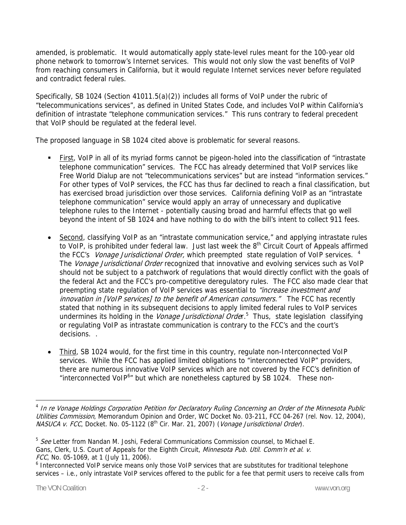amended, is problematic. It would automatically apply state-level rules meant for the 100-year old phone network to tomorrow's Internet services. This would not only slow the vast benefits of VoIP from reaching consumers in California, but it would regulate Internet services never before regulated and contradict federal rules.

Specifically, SB 1024 (Section 41011.5(a)(2)) includes all forms of VoIP under the rubric of "telecommunications services", as defined in United States Code, and includes VoIP within California's definition of intrastate "telephone communication services." This runs contrary to federal precedent that VoIP should be regulated at the federal level.

The proposed language in SB 1024 cited above is problematic for several reasons.

- First, VoIP in all of its myriad forms cannot be pigeon-holed into the classification of "intrastate telephone communication" services. The FCC has already determined that VoIP services like Free World Dialup are not "telecommunications services" but are instead "information services." For other types of VoIP services, the FCC has thus far declined to reach a final classification, but has exercised broad jurisdiction over those services. California defining VoIP as an "intrastate telephone communication" service would apply an array of unnecessary and duplicative telephone rules to the Internet - potentially causing broad and harmful effects that go well beyond the intent of SB 1024 and have nothing to do with the bill's intent to collect 911 fees.
- Second, classifying VoIP as an "intrastate communication service," and applying intrastate rules to VoIP, is prohibited under federal law. Just last week the  $8<sup>th</sup>$  Circuit Court of Appeals affirmed the FCC's *Vonage Jurisdictional Order*, which preempted state regulation of VoIP services. <sup>4</sup> The *Vonage Jurisdictional Order* recognized that innovative and evolving services such as VoIP should not be subject to a patchwork of regulations that would directly conflict with the goals of the federal Act and the FCC's pro-competitive deregulatory rules. The FCC also made clear that preempting state regulation of VoIP services was essential to "increase investment and innovation in [VoIP services] to the benefit of American consumers." The FCC has recently stated that nothing in its subsequent decisions to apply limited federal rules to VoIP services undermines its holding in the Vonage Jurisdictional Order.<sup>5</sup> Thus, state legislation classifying or regulating VoIP as intrastate communication is contrary to the FCC's and the court's decisions.
- Third, SB 1024 would, for the first time in this country, regulate non-Interconnected VoIP services. While the FCC has applied limited obligations to "interconnected VoIP" providers, there are numerous innovative VoIP services which are not covered by the FCC's definition of "interconnected VoIP<sup>6</sup>" but which are nonetheless captured by SB 1024. These non-

 $\overline{a}$ 

<sup>&</sup>lt;sup>4</sup> In re Vonage Holdings Corporation Petition for Declaratory Ruling Concerning an Order of the Minnesota Public Utilities Commission, Memorandum Opinion and Order, WC Docket No. 03-211, FCC 04-267 (rel. Nov. 12, 2004), NASUCA v. FCC, Docket. No. 05-1122 (8<sup>th</sup> Cir. Mar. 21, 2007) (Vonage Jurisdictional Order).

 $5$  See Letter from Nandan M. Joshi, Federal Communications Commission counsel, to Michael E. Gans, Clerk, U.S. Court of Appeals for the Eighth Circuit, Minnesota Pub. Util. Comm'n et al. v. FCC, No. 05-1069, at 1 (July 11, 2006).

<sup>&</sup>lt;sup>6</sup> Interconnected VoIP service means only those VoIP services that are substitutes for traditional telephone services – i.e., only intrastate VoIP services offered to the public for a fee that permit users to receive calls from